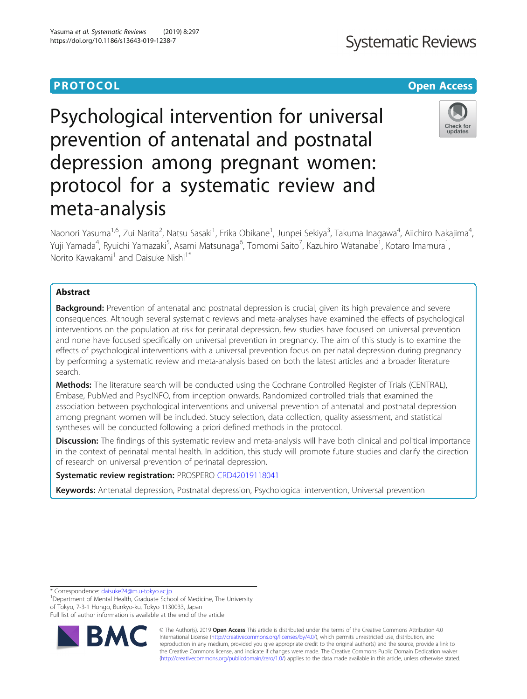## **PROTOCOL CONSUMING THE OPEN ACCESS**

# Psychological intervention for universal prevention of antenatal and postnatal depression among pregnant women: protocol for a systematic review and meta-analysis

Naonori Yasuma<sup>1,6</sup>, Zui Narita<sup>2</sup>, Natsu Sasaki<sup>1</sup>, Erika Obikane<sup>1</sup>, Junpei Sekiya<sup>3</sup>, Takuma Inagawa<sup>4</sup>, Aiichiro Nakajima<sup>4</sup> , Yuji Yamada<sup>4</sup>, Ryuichi Yamazaki<sup>5</sup>, Asami Matsunaga<sup>6</sup>, Tomomi Saito<sup>7</sup>, Kazuhiro Watanabe<sup>1</sup>, Kotaro Imamura<sup>1</sup> , Norito Kawakami<sup>1</sup> and Daisuke Nishi<sup>1\*</sup>

## Abstract

Background: Prevention of antenatal and postnatal depression is crucial, given its high prevalence and severe consequences. Although several systematic reviews and meta-analyses have examined the effects of psychological interventions on the population at risk for perinatal depression, few studies have focused on universal prevention and none have focused specifically on universal prevention in pregnancy. The aim of this study is to examine the effects of psychological interventions with a universal prevention focus on perinatal depression during pregnancy by performing a systematic review and meta-analysis based on both the latest articles and a broader literature search.

Methods: The literature search will be conducted using the Cochrane Controlled Register of Trials (CENTRAL), Embase, PubMed and PsycINFO, from inception onwards. Randomized controlled trials that examined the association between psychological interventions and universal prevention of antenatal and postnatal depression among pregnant women will be included. Study selection, data collection, quality assessment, and statistical syntheses will be conducted following a priori defined methods in the protocol.

**Discussion:** The findings of this systematic review and meta-analysis will have both clinical and political importance in the context of perinatal mental health. In addition, this study will promote future studies and clarify the direction of research on universal prevention of perinatal depression.

## Systematic review registration: PROSPERO [CRD42019118041](https://www.crd.york.ac.uk/prospero/display_record.php?RecordID=118041)

Keywords: Antenatal depression, Postnatal depression, Psychological intervention, Universal prevention

Department of Mental Health, Graduate School of Medicine, The University of Tokyo, 7-3-1 Hongo, Bunkyo-ku, Tokyo 1130033, Japan

Full list of author information is available at the end of the article

© The Author(s). 2019 **Open Access** This article is distributed under the terms of the Creative Commons Attribution 4.0 International License [\(http://creativecommons.org/licenses/by/4.0/](http://creativecommons.org/licenses/by/4.0/)), which permits unrestricted use, distribution, and reproduction in any medium, provided you give appropriate credit to the original author(s) and the source, provide a link to the Creative Commons license, and indicate if changes were made. The Creative Commons Public Domain Dedication waiver [\(http://creativecommons.org/publicdomain/zero/1.0/](http://creativecommons.org/publicdomain/zero/1.0/)) applies to the data made available in this article, unless otherwise stated.

\* Correspondence: [daisuke24@m.u-tokyo.ac.jp](mailto:daisuke24@m.u-tokyo.ac.jp) <sup>1</sup>

R,



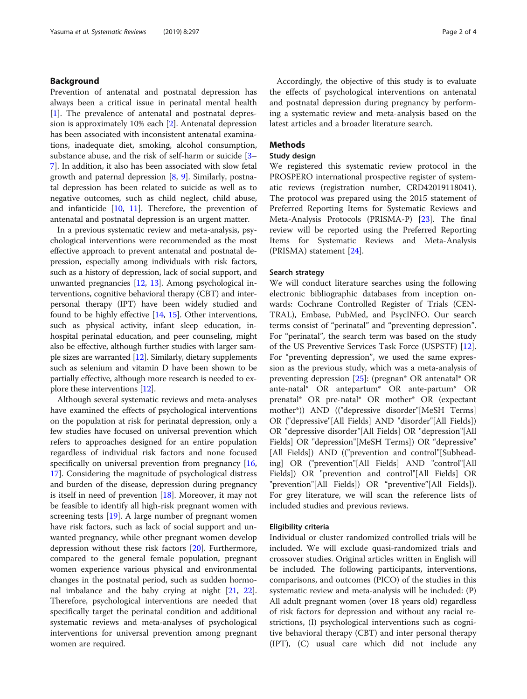### Background

Prevention of antenatal and postnatal depression has always been a critical issue in perinatal mental health [[1\]](#page-3-0). The prevalence of antenatal and postnatal depression is approximately 10% each [[2\]](#page-3-0). Antenatal depression has been associated with inconsistent antenatal examinations, inadequate diet, smoking, alcohol consumption, substance abuse, and the risk of self-harm or suicide [[3](#page-3-0)– [7\]](#page-3-0). In addition, it also has been associated with slow fetal growth and paternal depression [\[8](#page-3-0), [9\]](#page-3-0). Similarly, postnatal depression has been related to suicide as well as to negative outcomes, such as child neglect, child abuse, and infanticide [[10,](#page-3-0) [11](#page-3-0)]. Therefore, the prevention of antenatal and postnatal depression is an urgent matter.

In a previous systematic review and meta-analysis, psychological interventions were recommended as the most effective approach to prevent antenatal and postnatal depression, especially among individuals with risk factors, such as a history of depression, lack of social support, and unwanted pregnancies [\[12,](#page-3-0) [13](#page-3-0)]. Among psychological interventions, cognitive behavioral therapy (CBT) and interpersonal therapy (IPT) have been widely studied and found to be highly effective [\[14,](#page-3-0) [15](#page-3-0)]. Other interventions, such as physical activity, infant sleep education, inhospital perinatal education, and peer counseling, might also be effective, although further studies with larger sample sizes are warranted [\[12\]](#page-3-0). Similarly, dietary supplements such as selenium and vitamin D have been shown to be partially effective, although more research is needed to explore these interventions [\[12\]](#page-3-0).

Although several systematic reviews and meta-analyses have examined the effects of psychological interventions on the population at risk for perinatal depression, only a few studies have focused on universal prevention which refers to approaches designed for an entire population regardless of individual risk factors and none focused specifically on universal prevention from pregnancy [[16](#page-3-0), [17\]](#page-3-0). Considering the magnitude of psychological distress and burden of the disease, depression during pregnancy is itself in need of prevention [\[18\]](#page-3-0). Moreover, it may not be feasible to identify all high-risk pregnant women with screening tests [\[19](#page-3-0)]. A large number of pregnant women have risk factors, such as lack of social support and unwanted pregnancy, while other pregnant women develop depression without these risk factors [\[20](#page-3-0)]. Furthermore, compared to the general female population, pregnant women experience various physical and environmental changes in the postnatal period, such as sudden hormonal imbalance and the baby crying at night [[21,](#page-3-0) [22](#page-3-0)]. Therefore, psychological interventions are needed that specifically target the perinatal condition and additional systematic reviews and meta-analyses of psychological interventions for universal prevention among pregnant women are required.

Accordingly, the objective of this study is to evaluate the effects of psychological interventions on antenatal and postnatal depression during pregnancy by performing a systematic review and meta-analysis based on the latest articles and a broader literature search.

#### **Methods**

#### Study design

We registered this systematic review protocol in the PROSPERO international prospective register of systematic reviews (registration number, CRD42019118041). The protocol was prepared using the 2015 statement of Preferred Reporting Items for Systematic Reviews and Meta-Analysis Protocols (PRISMA-P) [\[23\]](#page-3-0). The final review will be reported using the Preferred Reporting Items for Systematic Reviews and Meta-Analysis (PRISMA) statement [\[24\]](#page-3-0).

#### Search strategy

We will conduct literature searches using the following electronic bibliographic databases from inception onwards: Cochrane Controlled Register of Trials (CEN-TRAL), Embase, PubMed, and PsycINFO. Our search terms consist of "perinatal" and "preventing depression". For "perinatal", the search term was based on the study of the US Preventive Services Task Force (USPSTF) [\[12](#page-3-0)]. For "preventing depression", we used the same expression as the previous study, which was a meta-analysis of preventing depression [[25](#page-3-0)]: (pregnan\* OR antenatal\* OR ante-natal\* OR antepartum\* OR ante-partum\* OR prenatal\* OR pre-natal\* OR mother\* OR (expectant mother\*)) AND (("depressive disorder"[MeSH Terms] OR ("depressive"[All Fields] AND "disorder"[All Fields]) OR "depressive disorder"[All Fields] OR "depression"[All Fields] OR "depression"[MeSH Terms]) OR "depressive" [All Fields]) AND (("prevention and control"[Subheading] OR ("prevention"[All Fields] AND "control"[All Fields]) OR "prevention and control"[All Fields] OR "prevention"[All Fields]) OR "preventive"[All Fields]). For grey literature, we will scan the reference lists of included studies and previous reviews.

#### Eligibility criteria

Individual or cluster randomized controlled trials will be included. We will exclude quasi-randomized trials and crossover studies. Original articles written in English will be included. The following participants, interventions, comparisons, and outcomes (PICO) of the studies in this systematic review and meta-analysis will be included: (P) All adult pregnant women (over 18 years old) regardless of risk factors for depression and without any racial restrictions, (I) psychological interventions such as cognitive behavioral therapy (CBT) and inter personal therapy (IPT), (C) usual care which did not include any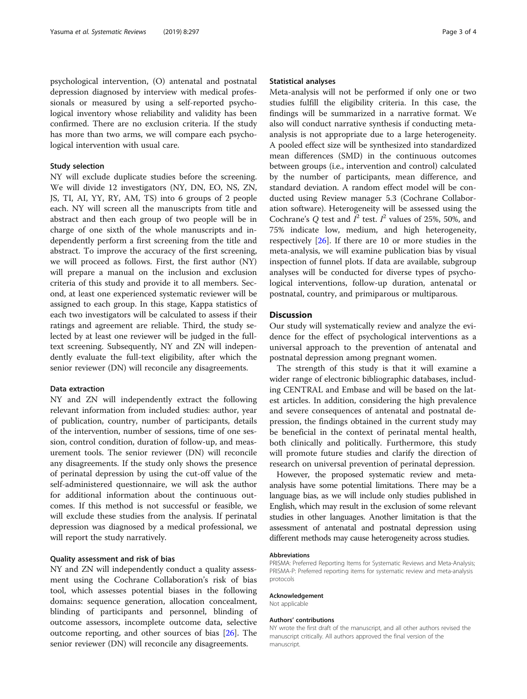psychological intervention, (O) antenatal and postnatal depression diagnosed by interview with medical professionals or measured by using a self-reported psychological inventory whose reliability and validity has been confirmed. There are no exclusion criteria. If the study has more than two arms, we will compare each psychological intervention with usual care.

#### Study selection

NY will exclude duplicate studies before the screening. We will divide 12 investigators (NY, DN, EO, NS, ZN, JS, TI, AI, YY, RY, AM, TS) into 6 groups of 2 people each. NY will screen all the manuscripts from title and abstract and then each group of two people will be in charge of one sixth of the whole manuscripts and independently perform a first screening from the title and abstract. To improve the accuracy of the first screening, we will proceed as follows. First, the first author (NY) will prepare a manual on the inclusion and exclusion criteria of this study and provide it to all members. Second, at least one experienced systematic reviewer will be assigned to each group. In this stage, Kappa statistics of each two investigators will be calculated to assess if their ratings and agreement are reliable. Third, the study selected by at least one reviewer will be judged in the fulltext screening. Subsequently, NY and ZN will independently evaluate the full-text eligibility, after which the senior reviewer (DN) will reconcile any disagreements.

#### Data extraction

NY and ZN will independently extract the following relevant information from included studies: author, year of publication, country, number of participants, details of the intervention, number of sessions, time of one session, control condition, duration of follow-up, and measurement tools. The senior reviewer (DN) will reconcile any disagreements. If the study only shows the presence of perinatal depression by using the cut-off value of the self-administered questionnaire, we will ask the author for additional information about the continuous outcomes. If this method is not successful or feasible, we will exclude these studies from the analysis. If perinatal depression was diagnosed by a medical professional, we will report the study narratively.

#### Quality assessment and risk of bias

NY and ZN will independently conduct a quality assessment using the Cochrane Collaboration's risk of bias tool, which assesses potential biases in the following domains: sequence generation, allocation concealment, blinding of participants and personnel, blinding of outcome assessors, incomplete outcome data, selective outcome reporting, and other sources of bias [\[26\]](#page-3-0). The senior reviewer (DN) will reconcile any disagreements.

#### Statistical analyses

Meta-analysis will not be performed if only one or two studies fulfill the eligibility criteria. In this case, the findings will be summarized in a narrative format. We also will conduct narrative synthesis if conducting metaanalysis is not appropriate due to a large heterogeneity. A pooled effect size will be synthesized into standardized mean differences (SMD) in the continuous outcomes between groups (i.e., intervention and control) calculated by the number of participants, mean difference, and standard deviation. A random effect model will be conducted using Review manager 5.3 (Cochrane Collaboration software). Heterogeneity will be assessed using the Cochrane's Q test and  $I^2$  test.  $I^2$  values of 25%, 50%, and 75% indicate low, medium, and high heterogeneity, respectively [\[26](#page-3-0)]. If there are 10 or more studies in the meta-analysis, we will examine publication bias by visual inspection of funnel plots. If data are available, subgroup analyses will be conducted for diverse types of psychological interventions, follow-up duration, antenatal or postnatal, country, and primiparous or multiparous.

## **Discussion**

Our study will systematically review and analyze the evidence for the effect of psychological interventions as a universal approach to the prevention of antenatal and postnatal depression among pregnant women.

The strength of this study is that it will examine a wider range of electronic bibliographic databases, including CENTRAL and Embase and will be based on the latest articles. In addition, considering the high prevalence and severe consequences of antenatal and postnatal depression, the findings obtained in the current study may be beneficial in the context of perinatal mental health, both clinically and politically. Furthermore, this study will promote future studies and clarify the direction of research on universal prevention of perinatal depression.

However, the proposed systematic review and metaanalysis have some potential limitations. There may be a language bias, as we will include only studies published in English, which may result in the exclusion of some relevant studies in other languages. Another limitation is that the assessment of antenatal and postnatal depression using different methods may cause heterogeneity across studies.

#### Abbreviations

PRISMA: Preferred Reporting Items for Systematic Reviews and Meta-Analysis; PRISMA-P: Preferred reporting items for systematic review and meta-analysis protocols

#### Acknowledgement

Not applicable

#### Authors' contributions

NY wrote the first draft of the manuscript, and all other authors revised the manuscript critically. All authors approved the final version of the manuscript.